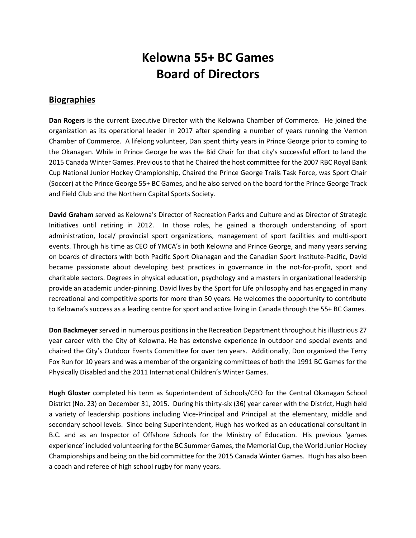## **Kelowna 55+ BC Games Board of Directors**

## **Biographies**

**Dan Rogers** is the current Executive Director with the Kelowna Chamber of Commerce. He joined the organization as its operational leader in 2017 after spending a number of years running the Vernon Chamber of Commerce. A lifelong volunteer, Dan spent thirty years in Prince George prior to coming to the Okanagan. While in Prince George he was the Bid Chair for that city's successful effort to land the 2015 Canada Winter Games. Previous to that he Chaired the host committee for the 2007 RBC Royal Bank Cup National Junior Hockey Championship, Chaired the Prince George Trails Task Force, was Sport Chair (Soccer) at the Prince George 55+ BC Games, and he also served on the board for the Prince George Track and Field Club and the Northern Capital Sports Society.

**David Graham** served as Kelowna's Director of Recreation Parks and Culture and as Director of Strategic Initiatives until retiring in 2012. In those roles, he gained a thorough understanding of sport administration, local/ provincial sport organizations, management of sport facilities and multi-sport events. Through his time as CEO of YMCA's in both Kelowna and Prince George, and many years serving on boards of directors with both Pacific Sport Okanagan and the Canadian Sport Institute-Pacific, David became passionate about developing best practices in governance in the not-for-profit, sport and charitable sectors. Degrees in physical education, psychology and a masters in organizational leadership provide an academic under-pinning. David lives by the Sport for Life philosophy and has engaged in many recreational and competitive sports for more than 50 years. He welcomes the opportunity to contribute to Kelowna's success as a leading centre for sport and active living in Canada through the 55+ BC Games.

**Don Backmeyer** served in numerous positions in the Recreation Department throughout his illustrious 27 year career with the City of Kelowna. He has extensive experience in outdoor and special events and chaired the City's Outdoor Events Committee for over ten years. Additionally, Don organized the Terry Fox Run for 10 years and was a member of the organizing committees of both the 1991 BC Games for the Physically Disabled and the 2011 International Children's Winter Games.

**Hugh Gloster** completed his term as Superintendent of Schools/CEO for the Central Okanagan School District (No. 23) on December 31, 2015. During his thirty-six (36) year career with the District, Hugh held a variety of leadership positions including Vice-Principal and Principal at the elementary, middle and secondary school levels. Since being Superintendent, Hugh has worked as an educational consultant in B.C. and as an Inspector of Offshore Schools for the Ministry of Education. His previous 'games experience' included volunteering for the BC Summer Games, the Memorial Cup, the World Junior Hockey Championships and being on the bid committee for the 2015 Canada Winter Games. Hugh has also been a coach and referee of high school rugby for many years.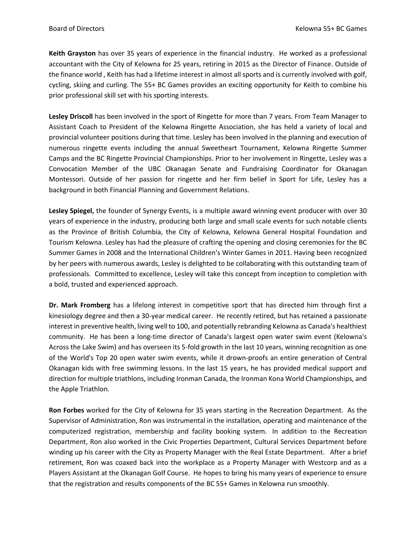**Keith Grayston** has over 35 years of experience in the financial industry. He worked as a professional accountant with the City of Kelowna for 25 years, retiring in 2015 as the Director of Finance. Outside of the finance world , Keith has had a lifetime interest in almost all sports and is currently involved with golf, cycling, skiing and curling. The 55+ BC Games provides an exciting opportunity for Keith to combine his prior professional skill set with his sporting interests.

**Lesley Driscoll** has been involved in the sport of Ringette for more than 7 years. From Team Manager to Assistant Coach to President of the Kelowna Ringette Association, she has held a variety of local and provincial volunteer positions during that time. Lesley has been involved in the planning and execution of numerous ringette events including the annual Sweetheart Tournament, Kelowna Ringette Summer Camps and the BC Ringette Provincial Championships. Prior to her involvement in Ringette, Lesley was a Convocation Member of the UBC Okanagan Senate and Fundraising Coordinator for Okanagan Montessori. Outside of her passion for ringette and her firm belief in Sport for Life, Lesley has a background in both Financial Planning and Government Relations.

**Lesley Spiegel,** the founder of Synergy Events, is a multiple award winning event producer with over 30 years of experience in the industry, producing both large and small scale events for such notable clients as the Province of British Columbia, the City of Kelowna, Kelowna General Hospital Foundation and Tourism Kelowna. Lesley has had the pleasure of crafting the opening and closing ceremonies for the BC Summer Games in 2008 and the International Children's Winter Games in 2011. Having been recognized by her peers with numerous awards, Lesley is delighted to be collaborating with this outstanding team of professionals. Committed to excellence, Lesley will take this concept from inception to completion with a bold, trusted and experienced approach.

**Dr. Mark Fromberg** has a lifelong interest in competitive sport that has directed him through first a kinesiology degree and then a 30-year medical career. He recently retired, but has retained a passionate interest in preventive health, living well to 100, and potentially rebranding Kelowna as Canada's healthiest community. He has been a long-time director of Canada's largest open water swim event (Kelowna's Across the Lake Swim) and has overseen its 5-fold growth in the last 10 years, winning recognition as one of the World's Top 20 open water swim events, while it drown-proofs an entire generation of Central Okanagan kids with free swimming lessons. In the last 15 years, he has provided medical support and direction for multiple triathlons, including Ironman Canada, the Ironman Kona World Championships, and the Apple Triathlon.

**Ron Forbes** worked for the City of Kelowna for 35 years starting in the Recreation Department. As the Supervisor of Administration, Ron was instrumental in the installation, operating and maintenance of the computerized registration, membership and facility booking system. In addition to the Recreation Department, Ron also worked in the Civic Properties Department, Cultural Services Department before winding up his career with the City as Property Manager with the Real Estate Department. After a brief retirement, Ron was coaxed back into the workplace as a Property Manager with Westcorp and as a Players Assistant at the Okanagan Golf Course. He hopes to bring his many years of experience to ensure that the registration and results components of the BC 55+ Games in Kelowna run smoothly.